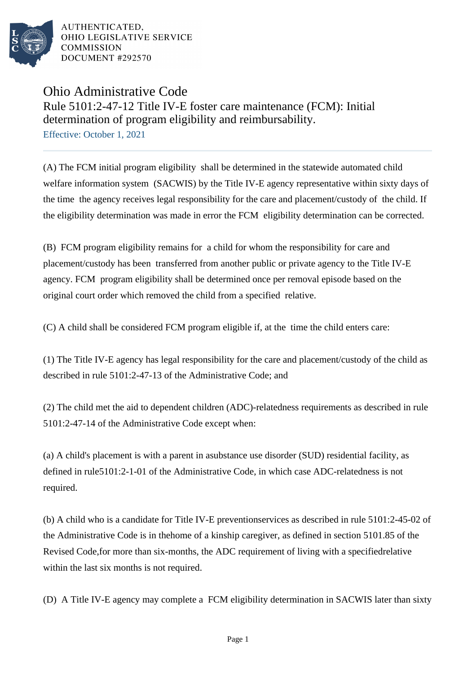

AUTHENTICATED. OHIO LEGISLATIVE SERVICE **COMMISSION** DOCUMENT #292570

## Ohio Administrative Code Rule 5101:2-47-12 Title IV-E foster care maintenance (FCM): Initial determination of program eligibility and reimbursability. Effective: October 1, 2021

(A) The FCM initial program eligibility shall be determined in the statewide automated child welfare information system (SACWIS) by the Title IV-E agency representative within sixty days of the time the agency receives legal responsibility for the care and placement/custody of the child. If the eligibility determination was made in error the FCM eligibility determination can be corrected.

(B) FCM program eligibility remains for a child for whom the responsibility for care and placement/custody has been transferred from another public or private agency to the Title IV-E agency. FCM program eligibility shall be determined once per removal episode based on the original court order which removed the child from a specified relative.

(C) A child shall be considered FCM program eligible if, at the time the child enters care:

(1) The Title IV-E agency has legal responsibility for the care and placement/custody of the child as described in rule 5101:2-47-13 of the Administrative Code; and

(2) The child met the aid to dependent children (ADC)-relatedness requirements as described in rule 5101:2-47-14 of the Administrative Code except when:

(a) A child's placement is with a parent in a substance use disorder (SUD) residential facility, as defined in rule 5101:2-1-01 of the Administrative Code, in which case ADC-relatedness is not required.

(b) A child who is a candidate for Title IV-E prevention services as described in rule 5101:2-45-02 of the Administrative Code is in the home of a kinship caregiver, as defined in section 5101.85 of the Revised Code, for more than six-months, the ADC requirement of living with a specified relative within the last six months is not required.

(D) A Title IV-E agency may complete a FCM eligibility determination in SACWIS later than sixty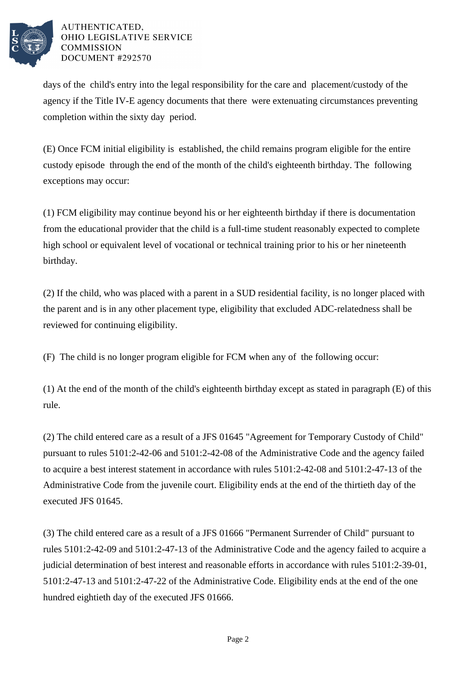

## AUTHENTICATED. OHIO LEGISLATIVE SERVICE **COMMISSION** DOCUMENT #292570

days of the child's entry into the legal responsibility for the care and placement/custody of the agency if the Title IV-E agency documents that there were extenuating circumstances preventing completion within the sixty day period.

(E) Once FCM initial eligibility is established, the child remains program eligible for the entire custody episode through the end of the month of the child's eighteenth birthday. The following exceptions may occur:

(1) FCM eligibility may continue beyond his or her eighteenth birthday if there is documentation from the educational provider that the child is a full-time student reasonably expected to complete high school or equivalent level of vocational or technical training prior to his or her nineteenth birthday.

(2) If the child, who was placed with a parent in a SUD residential facility, is no longer placed with the parent and is in any other placement type, eligibility that excluded ADC-relatedness shall be reviewed for continuing eligibility.

(F) The child is no longer program eligible for FCM when any of the following occur:

(1) At the end of the month of the child's eighteenth birthday except as stated in paragraph  $(E)$  of this rule.

(2) The child entered care as a result of a JFS 01645 "Agreement for Temporary Custody of Child" pursuant to rules 5101:2-42-06 and 5101:2-42-08 of the Administrative Code and the agency failed to acquire a best interest statement in accordance with rules  $5101:2-42-08$  and  $5101:2-47-13$  of the Administrative Code from the juvenile court. Eligibility ends at the end of the thirtieth day of the executed JFS 01645.

(3) The child entered care as a result of a JFS 01666 "Permanent Surrender of Child" pursuant to rules  $5101:2-42-09$  and  $5101:2-47-13$  of the Administrative Code and the agency failed to acquire a judicial determination of best interest and reasonable efforts in accordance with rules 5101:2-39-01, 5101:2-47-13 and 5101:2-47-22 of the Administrative Code. Eligibility ends at the end of the one hundred eightieth day of the executed JFS 01666.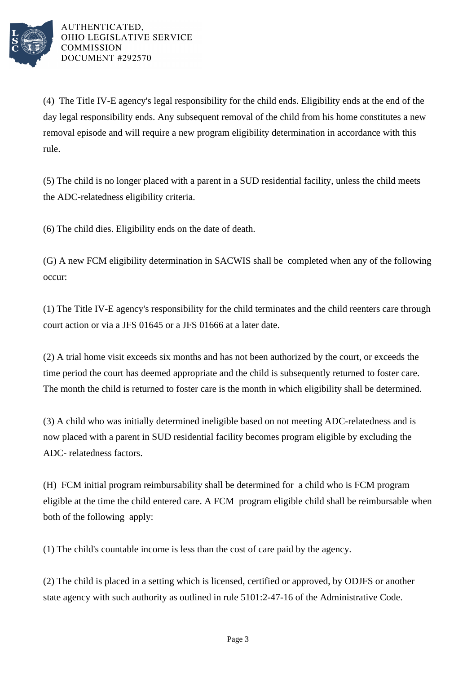

AUTHENTICATED. OHIO LEGISLATIVE SERVICE **COMMISSION** DOCUMENT #292570

(4) The Title IV-E agency's legal responsibility for the child ends. Eligibility ends at the end of the day legal responsibility ends. Any subsequent removal of the child from his home constitutes a new removal episode and will require a new program eligibility determination in accordance with this rule.

(5) The child is no longer placed with a parent in a SUD residential facility, unless the child meets the ADC-relatedness eligibility criteria.

(6) The child dies. Eligibility ends on the date of death.

(G) A new FCM eligibility determination in SACWIS shall be completed when any of the following occur:

(1) The Title IV-E agency's responsibility for the child terminates and the child reenters care through court action or via a JFS 01645 or a JFS 01666 at a later date.

(2) A trial home visit exceeds six months and has not been authorized by the court, or exceeds the time period the court has deemed appropriate and the child is subsequently returned to foster care. The month the child is returned to foster care is the month in which eligibility shall be determined.

(3) A child who was initially determined ineligible based on not meeting ADC-relatedness and is now placed with a parent in SUD residential facility becomes program eligible by excluding the ADC- relatedness factors.

(H) FCM initial program reimbursability shall be determined for a child who is FCM program eligible at the time the child entered care. A FCM program eligible child shall be reimbursable when both of the following apply:

(1) The child's countable income is less than the cost of care paid by the agency.

(2) The child is placed in a setting which is licensed, certified or approved, by ODJFS or another state agency with such authority as outlined in rule 5101:2-47-16 of the Administrative Code.